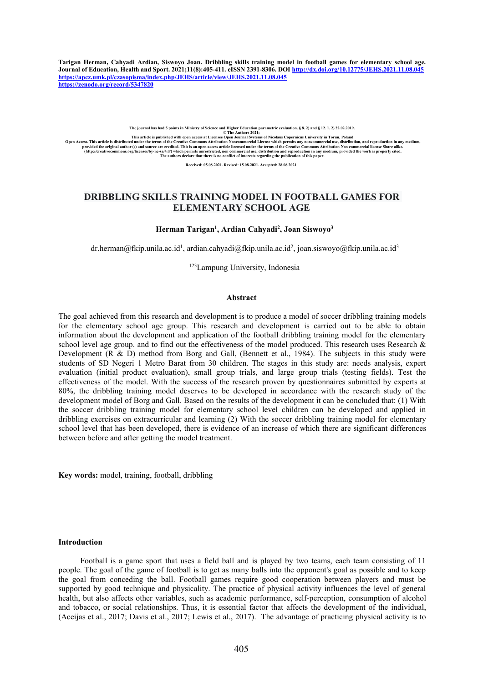Tarigan Herman, Cahyadi Ardian, Siswoyo Joan. Dribbling skills training model in football games for elementary school age. **Journal of Education, Health and Sport. 2021;11(8):405-411. eISSN 2391-8306. DOI <http://dx.doi.org/10.12775/JEHS.2021.11.08.045> <https://apcz.umk.pl/czasopisma/index.php/JEHS/article/view/JEHS.2021.11.08.045> <https://zenodo.org/record/5347820>**

The journal has had 5 points in Ministry of Science and Higher Education. Set aluation. Set 2) and § 12.1.2) 22.02.2019.<br>Open Access. This article is published with open access at Licensce Open Journal Systems of Nicolaus

# **DRIBBLING SKILLS TRAINING MODEL IN FOOTBALL GAMES FOR ELEMENTARY SCHOOL AGE**

#### **Herman Tarigan 1 , Ardian Cahyadi<sup>2</sup> , Joan Siswoyo 3**

[dr.herman@fkip.unila.ac.id](mailto:dr.herman@fkip.unila.ac.id)<sup>1</sup>, [ardian.cahyadi@fkip.unila.ac.id](mailto:ardian.cahyadi@fkip.unila.ac.id)<sup>2</sup>, [joan.siswoyo@fkip.unila.ac.id](mailto:joan.siswoyo@fkip.unila.ac.id)<sup>3</sup> 3

<sup>123</sup>Lampung University, Indonesia

#### **Abstract**

The goal achieved from this research and development is to produce a model of soccer dribbling training models for the elementary school age group. This research and development is carried out to be able to obtain information about the development and application of the football dribbling training model for the elementary school level age group. and to find out the effectiveness of the model produced. This research uses Research & Development (R & D) method from Borg and Gall, (Bennett et al., 1984). The subjects in this study were students of SD Negeri 1 Metro Barat from 30 children. The stages in this study are: needs analysis, expert evaluation (initial product evaluation), small group trials, and large group trials (testing fields). Test the effectiveness of the model. With the success of the research proven by questionnaires submitted by experts at 80%, the dribbling training model deserves to be developed in accordance with the research study of the development model of Borg and Gall. Based on the results of the development it can be concluded that: (1) With the soccer dribbling training model for elementary school level children can be developed and applied in dribbling exercises on extracurricular and learning (2) With the soccer dribbling training model for elementary school level that has been developed, there is evidence of an increase of which there are significant differences between before and after getting the model treatment.

**Key words:**model, training, football, dribbling

#### **Introduction**

Football is a game sport that uses a field ball and is played by two teams, each team consisting of 11 people. The goal of the game of football is to get as many balls into the opponent's goal as possible and to keep the goal from conceding the ball. Football games require good cooperation between players and must be supported by good technique and physicality. The practice of physical activity influences the level of general health, but also affects other variables, such as academic performance, self-perception, consumption of alcohol and tobacco, or social relationships. Thus, it is essential factor that affects the development of the individual, (Aceijas et al., 2017; Davis et al.,2017; Lewis et al., 2017). The advantage of practicing physical activity is to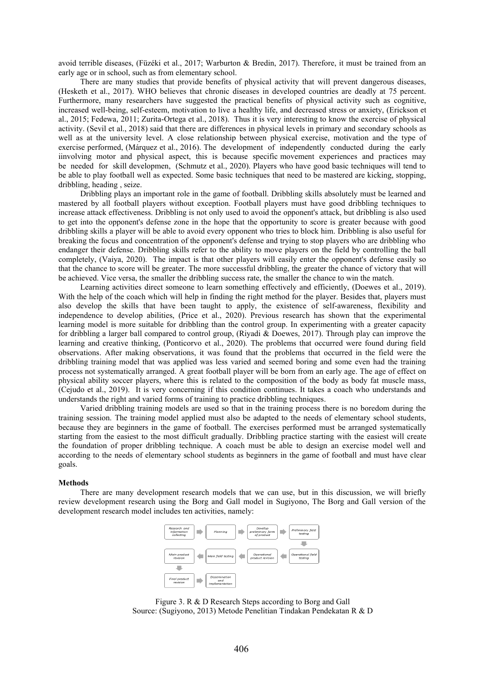avoid terrible diseases, (Füzéki et al., 2017; Warburton & Bredin, 2017). Therefore, it must be trained from an early age or in school, such as from elementary school.

There are many studies that provide benefits of physical activity that will prevent dangerous diseases, (Hesketh et al., 2017). WHO believes that chronic diseases in developed countries are deadly at 75 percent. Furthermore, many researchers have suggested the practical benefits of physical activity such as cognitive, increased well-being, self-esteem, motivation to live a healthy life, and decreased stress or anxiety, (Erickson et al., 2015; Fedewa, 2011; Zurita-Ortega et al., 2018). Thus it is very interesting to know the exercise of physical activity. (Sevil et al., 2018) said that there are differences in physical levels in primary and secondary schools as well as at the university level. A close relationship between physical exercise, motivation and the type of exercise performed, (Márquez et al., 2016). The development of independently conducted during the early iinvolving motor and physical aspect, this is because specific movement experiences and practices may be needed for skill developmen, (Schmutz et al., 2020). Players who have good basic techniques will tend to be able to play football well as expected. Some basic techniques that need to be mastered are kicking, stopping, dribbling, heading , seize.

Dribbling plays an important role in the game of football. Dribbling skills absolutely must be learned and mastered by all football players without exception. Football players must have good dribbling techniques to increase attack effectiveness. Dribbling is not only used to avoid the opponent's attack, but dribbling is also used to get into the opponent's defense zone in the hope that the opportunity to score is greater because with good dribbling skills a player will be able to avoid every opponent who tries to block him. Dribbling is also useful for breaking the focus and concentration of the opponent's defense and trying to stop players who are dribbling who endanger their defense. Dribbling skills refer to the ability to move players on the field by controlling the ball completely, (Vaiya, 2020). The impact is that other players will easily enter the opponent's defense easily so that the chance to score willbe greater. The more successful dribbling, the greater the chance of victory that will be achieved. Vice versa, the smaller the dribbling success rate, the smaller the chance to win the match.

Learning activities direct someone to learn something effectively and efficiently, (Doewes et al., 2019). With the help of the coach which will help in finding the right method for the player. Besides that, players must also develop the skills that have been taught to apply, the existence of self-awareness, flexibility and independence to develop abilities, (Price et al., 2020). Previous research has shown that the experimental learning model is more suitable for dribbling than the control group. In experimenting with a greater capacity for dribbling a larger ball compared to control group, (Riyadi & Doewes, 2017). Through play can improve the learning and creative thinking, (Ponticorvo et al., 2020). The problems that occurred were found during field observations. After making observations, it was found that the problems that occurred in the field were the dribbling training model that was applied was less varied and seemed boring and some even had the training process not systematically arranged. A great football player will be born from an early age. The age of effect on physical ability soccer players, where this is related to the composition of the body as body fat muscle mass, (Cejudo et al., 2019). It is very concerning if this condition continues. It takes a coach who understands and understands the right and varied forms of training to practice dribbling techniques.

Varied dribbling training models are used so that in the training process there is no boredom during the training session. The training model applied must also be adapted to the needs of elementary school students, because they are beginners in the game of football. The exercises performed must be arranged systematically starting from the easiest to the most difficult gradually. Dribbling practice starting with the easiest will create the foundation of proper dribbling technique. A coach must be able to design an exercise model well and according to the needs of elementary school students as beginners in the game of football and must have clear goals.

## **Methods**

There are many development research models that we can use, but in this discussion, we will briefly review development research using the Borg and Gall model in Sugiyono, The Borg and Gall version of the development research model includes ten activities, namely:



Figure 3. R & D Research Steps according to Borg and Gall Source: (Sugiyono, 2013) Metode Penelitian Tindakan Pendekatan R & D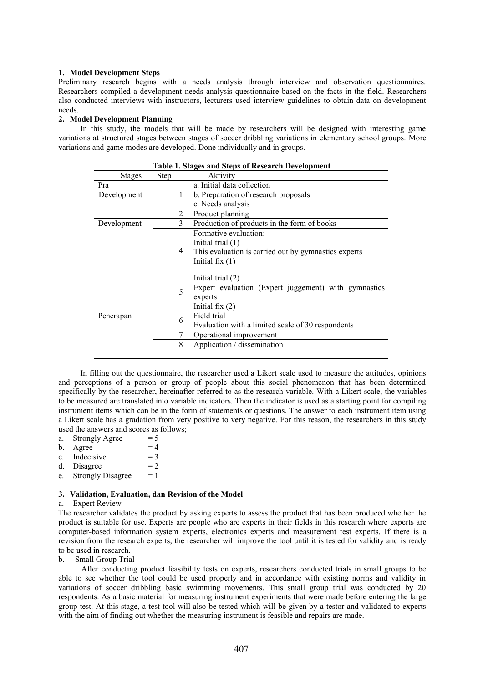# **1. Model Development Steps**

Preliminary research begins with a needs analysis through interview and observation questionnaires. Researchers compiled a development needs analysis questionnaire based on the facts in the field. Researchers also conducted interviews with instructors, lecturers used interview guidelines to obtain data on development needs.

# **2. Model Development Planning**

In this study, the models that will be made by researchers will be designed with interesting game variations at structured stages between stages of soccer dribbling variations in elementary school groups. More variations and game modes are developed. Done individually and in groups.

| Tabic 1. Stages and Steps of Kescaren Development |                |                                                      |  |
|---------------------------------------------------|----------------|------------------------------------------------------|--|
| <b>Stages</b>                                     | Step           | Aktivity                                             |  |
| Pra                                               |                | a. Initial data collection                           |  |
| Development<br>1                                  |                | b. Preparation of research proposals                 |  |
|                                                   |                | c. Needs analysis                                    |  |
|                                                   | 2              | Product planning                                     |  |
| Development                                       | 3              | Production of products in the form of books          |  |
|                                                   |                | Formative evaluation:                                |  |
|                                                   |                | Initial trial $(1)$                                  |  |
|                                                   | $\overline{4}$ | This evaluation is carried out by gymnastics experts |  |
|                                                   |                | Initial fix $(1)$                                    |  |
|                                                   |                |                                                      |  |
|                                                   |                | Initial trial (2)                                    |  |
|                                                   | 5              | Expert evaluation (Expert juggement) with gymnastics |  |
|                                                   |                | experts                                              |  |
|                                                   |                | Initial fix $(2)$                                    |  |
| Penerapan                                         | 6              | Field trial                                          |  |
|                                                   |                | Evaluation with a limited scale of 30 respondents    |  |
|                                                   | 7              | Operational improvement                              |  |
|                                                   | 8              | Application / dissemination                          |  |
|                                                   |                |                                                      |  |

**Table 1. Stages and Steps ofResearch Development**

In filling out the questionnaire, the researcher used a Likert scale used to measure the attitudes, opinions and perceptions of a person or group of people about this social phenomenon that has been determined specifically by the researcher, hereinafter referred to as the research variable. With a Likert scale, the variables to be measured are translated into variable indicators. Then the indicator is used as a starting point for compiling instrument items which can be in the form of statements orquestions. The answer to each instrument item using a Likert scale has a gradation from very positive to very negative. For this reason, the researchers in this study used the answers and scores as follows;

| a. Strongly Agree | $= 5$ |  |
|-------------------|-------|--|
| b. Agree          | $=4$  |  |
| c. Indecisive     | $=$ 3 |  |
| d. Disagree       | $= 2$ |  |

Strongly Disagree  $= 1$ 

#### **3. Validation, Evaluation, dan Revision of the Model**

#### a. Expert Review

The researcher validates the product by asking experts to assess the product that has been produced whether the product is suitable for use. Experts are people who are experts in their fields in this research where experts are computer-based information system experts, electronics experts and measurement test experts. If there is a revision from the research experts, the researcher will improve the tool until it is tested for validity and is ready to be used in research.

#### b. Small Group Trial

After conducting product feasibility tests on experts, researchers conducted trials in small groups to be able to see whether the tool could be used properly and in accordance with existing norms and validity in variations of soccer dribbling basic swimming movements. This small group trial was conducted by 20 respondents. As a basic material for measuring instrument experiments that were made before entering the large group test. At this stage, a test tool will also be tested which will be given by a testor and validated to experts with the aim of finding out whether the measuring instrument is feasible and repairs are made.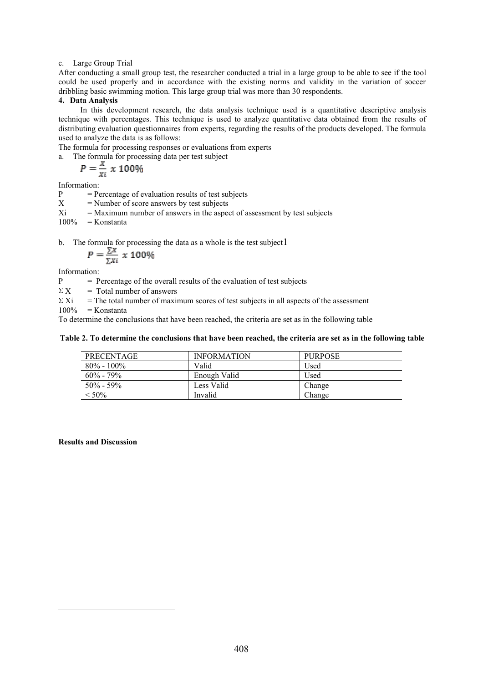# c. Large Group Trial

After conducting a small group test, the researcher conducted a trial in a large group to be able to see if the tool could be used properly and in accordance with the existing norms and validity in the variation of soccer dribbling basic swimming motion. This large group trial was more than 30 respondents.

# **4. Data Analysis**

In this development research, the data analysis technique used is a quantitative descriptive analysis technique with percentages. This technique is used to analyze quantitative data obtained from the results of distributing evaluation questionnaires from experts, regarding the results of the products developed. The formula used to analyze the data is as follows:

The formula for processing responses or evaluations from experts

a. The formula for processing data per testsubject

$$
P=\frac{x}{x_i}\;x\;100\%
$$

Information:

 $P =$  Percentage of evaluation results of test subjects

 $X =$  Number of score answers by test subjects<br> $Xi =$  Maximum number of answers in the aspected

 $=$  Maximum number of answers in the aspect of assessment by test subjects

 $100\%$  = Konstanta

b. The formula for processing the data as a whole is the test subject  $1$ 

$$
P = \frac{\sum x}{\sum x_i} \times 100\%
$$

Information:

P = Percentage of the overall results of the evaluation of test subjects

 $\sum X$  = Total number of answers

 $\Sigma$  Xi = The total number of maximum scores of test subjects in all aspects of the assessment

 $100\%$  = Konstanta

To determine the conclusions that have been reached, the criteria are set as in the following table

# Table 2. To determine the conclusions that have been reached, the criteria are set as in the following table

| <b>PRECENTAGE</b> | <b>INFORMATION</b> | <b>PURPOSE</b> |
|-------------------|--------------------|----------------|
| $80\% - 100\%$    | Valid              | Used           |
| $60\% - 79\%$     | Enough Valid       | Used           |
| $50\% - 59\%$     | Less Valid         | Change         |
| $< 50\%$          | Invalid            | Change         |

#### <span id="page-3-0"></span>**Results and Discussion**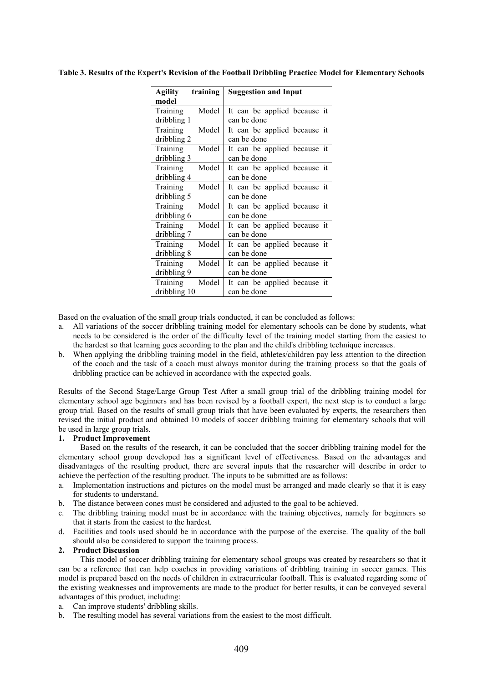| training<br>Agility<br>model      | <b>Suggestion and Input</b>                 |
|-----------------------------------|---------------------------------------------|
| Training<br>Model<br>dribbling 1  | It can be applied because it<br>can be done |
| Training<br>Model<br>dribbling 2  | It can be applied because it<br>can be done |
| Training<br>Model<br>dribbling 3  | It can be applied because it<br>can be done |
| Model<br>Training<br>dribbling 4  | It can be applied because it<br>can be done |
| Model<br>Training<br>dribbling 5  | It can be applied because it<br>can be done |
| Training<br>Model<br>dribbling 6  | It can be applied because it<br>can be done |
| Training<br>Model<br>dribbling 7  | It can be applied because it<br>can be done |
| Model<br>Training<br>dribbling 8  | It can be applied because it<br>can be done |
| Training<br>Model<br>dribbling 9  | It can be applied because it<br>can be done |
| Training<br>Model<br>dribbling 10 | It can be applied because it<br>can be done |

**Table 3. Results of the Expert's Revision of the Football Dribbling Practice Model for Elementary Schools**

Based on the evaluation of the small group trials conducted, it can be concluded as follows:

- a. All variations of the soccer dribbling training model for elementary schools can be done by students, what needs to be considered is the order of the difficulty level of the training model starting from the easiest to the hardest so that learning goes according to the plan and the child's dribbling technique increases.
- b. When applying the dribbling training model in the field, athletes/children pay less attention to the direction of the coach and the task of a coach must always monitor during the training process so that the goals of dribbling practice can be achieved in accordance with the expected goals.

Results of the Second Stage/Large Group Test After a small group trial of the dribbling training model for elementary school age beginners and has been revised by a footballexpert, the next step is to conduct a large group trial. Based on the results of small group trials that have been evaluated by experts, the researchers then revised the initial product and obtained 10 models of soccer dribbling training for elementary schools that will be used in large group trials.

# **1. Product Improvement**

Based on the results of the research, it can be concluded that the soccer dribbling training model for the elementary school group developed has a significant level of effectiveness. Based on the advantages and disadvantages of the resulting product, there are several inputs that the researcher will describe in order to achieve the perfection of the resulting product. The inputs to be submitted are as follows:

- a. Implementation instructions and pictures on the model must be arranged and made clearly so that it is easy for students to understand.
- b. The distance between cones must be considered and adjusted to the goal to be achieved.
- c. The dribbling training model must be in accordance with the training objectives, namely for beginners so that it starts from the easiest to the hardest.
- d. Facilities and tools used should be in accordance with the purpose of the exercise. The quality of the ball should also be considered to support the training process.

# **2. Product Discussion**

This model of soccer dribbling training for elementary school groups was created by researchers so that it can be a reference that can help coaches in providing variations of dribbling training in soccer games. This model is prepared based on the needs of children in extracurricular football. This is evaluated regarding some of the existing weaknesses and improvements are made to the product for better results, it can be conveyed several advantages of this product, including:

- a. Can improve students' dribbling skills.
- b. The resulting model has several variations from the easiest to the most difficult.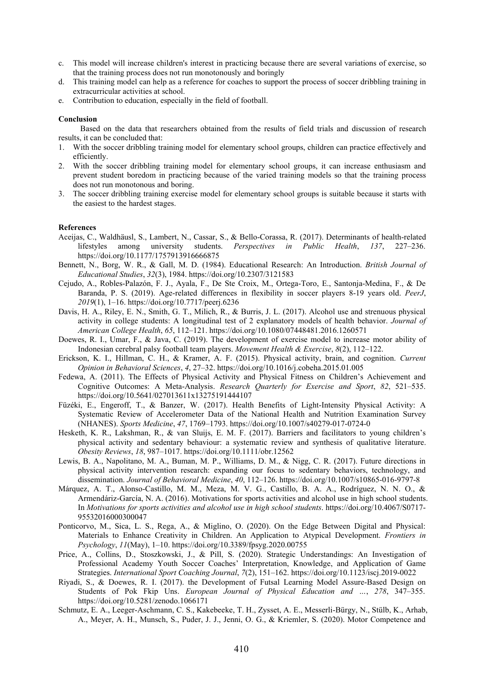- c. This model will increase children's interest in practicing because there are several variations of exercise, so that the training process does not run monotonously and boringly
- d. This training model can help as a reference for coaches to support the process of soccer dribbling training in extracurricular activities at school.
- e. Contribution to education, especially in the field of football.

# **Conclusion**

Based on the data that researchers obtained from the results of field trials and discussion of research results, it can be concluded that:

- With the soccer dribbling training model for elementary school groups, children can practice effectively and efficiently.
- 2. With the soccer dribbling training model for elementary school groups, it can increase enthusiasm and prevent student boredom in practicing because of the varied training models so that the training process does not run monotonous and boring.
- 3. The soccer dribbling training exercise model for elementary school groups is suitable because it starts with the easiest to the hardest stages.

## **References**

- Aceijas, C., Waldhäusl, S., Lambert, N., Cassar, S., & Bello-Corassa, R. (2017). Determinants of health-related lifestyles among university students. *Perspectives in Public Health*, *137*, 227–236. https://doi.org/10.1177/1757913916666875
- Bennett, N., Borg, W. R., & Gall, M. D. (1984). Educational Research: An Introduction. *British Journal of Educational Studies*, *32*(3), 1984. https://doi.org/10.2307/3121583
- Cejudo, A., Robles-Palazón, F. J., Ayala, F., De Ste Croix, M., Ortega-Toro, E., Santonja-Medina, F., & De Baranda, P. S. (2019). Age-related differences in flexibility in soccer players 8-19 years old. *PeerJ*, *2019*(1), 1–16. https://doi.org/10.7717/peerj.6236
- Davis, H. A., Riley, E. N., Smith, G. T., Milich, R., & Burris, J. L. (2017). Alcohol use and strenuous physical activity in college students: A longitudinal test of 2 explanatory models of health behavior. *Journal of American College Health*, *65*, 112–121. https://doi.org/10.1080/07448481.2016.1260571
- Doewes, R. I., Umar, F., & Java, C. (2019). The development of exercise model to increase motor ability of Indonesian cerebral palsy football team players. *Movement Health & Exercise*, *8*(2), 112–122.
- Erickson, K. I., Hillman, C. H., & Kramer, A. F. (2015).Physical activity, brain, and cognition. *Current Opinion in Behavioral Sciences*, *4*, 27–32. https://doi.org/10.1016/j.cobeha.2015.01.005
- Fedewa, A. (2011). The Effects of Physical Activity and Physical Fitness on Children's Achievement and Cognitive Outcomes: A Meta-Analysis. *Research Quarterly for Exercise and Sport*, *82*, 521–535. https://doi.org/10.5641/027013611x13275191444107
- Füzéki, E., Engeroff, T., & Banzer, W. (2017). Health Benefits of Light-Intensity Physical Activity: A Systematic Review of Accelerometer Data of the National Health and Nutrition Examination Survey (NHANES). *Sports Medicine*, *47*, 1769–1793. https://doi.org/10.1007/s40279-017-0724-0
- Hesketh, K. R., Lakshman, R., & van Sluijs, E. M. F. (2017). Barriers and facilitators to young children's physical activity and sedentary behaviour: a systematic review and synthesis of qualitative literature. *Obesity Reviews*, *18*, 987–1017. https://doi.org/10.1111/obr.12562
- Lewis, B. A., Napolitano, M. A., Buman, M. P., Williams, D. M., & Nigg, C. R. (2017). Future directions in physical activity intervention research: expanding our focus to sedentary behaviors, technology, and dissemination. *Journal of Behavioral Medicine*, *40*, 112–126. https://doi.org/10.1007/s10865-016-9797-8
- Márquez, A. T., Alonso-Castillo, M. M., Meza, M. V. G., Castillo, B. A. A., Rodríguez, N. N. O., & Armendáriz-García, N. A. (2016). Motivations for sports activities and alcohol use in high school students. In *Motivations for sports activities and alcohol use in high school students*. https://doi.org/10.4067/S0717- 95532016000300047
- Ponticorvo, M., Sica, L. S., Rega, A., & Miglino, O. (2020). On the Edge Between Digital and Physical: Materials to Enhance Creativity in Children. An Application to Atypical Development. *Frontiers in Psychology*, *11*(May), 1–10. https://doi.org/10.3389/fpsyg.2020.00755
- Price, A., Collins, D., Stoszkowski, J., & Pill, S. (2020). Strategic Understandings: An Investigation of Professional Academy Youth Soccer Coaches' Interpretation, Knowledge, and Application of Game Strategies. *International Sport Coaching Journal*, *7*(2), 151–162. https://doi.org/10.1123/iscj.2019-0022
- Riyadi, S., & Doewes, R. I. (2017). the Development of Futsal Learning Model Assure-Based Design on Students of Pok Fkip Uns. *European Journal of Physical Education and …*, *278*, 347–355. https://doi.org/10.5281/zenodo.1066171
- Schmutz, E. A., Leeger-Aschmann, C. S., Kakebeeke, T. H., Zysset, A. E., Messerli-Bürgy, N., Stülb, K., Arhab, A., Meyer, A. H., Munsch, S., Puder, J. J., Jenni, O. G., & Kriemler, S. (2020). Motor Competence and